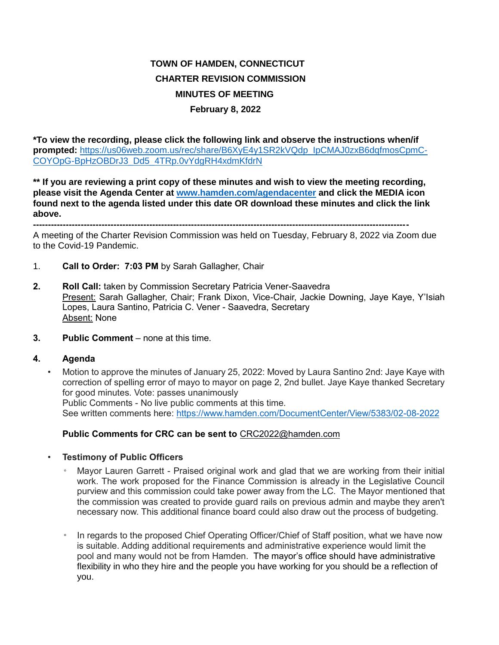## **TOWN OF HAMDEN, CONNECTICUT CHARTER REVISION COMMISSION MINUTES OF MEETING February 8, 2022**

**\*To view the recording, please click the following link and observe the instructions when/if prompted:** [https://us06web.zoom.us/rec/share/B6XyE4y1SR2kVQdp\\_IpCMAJ0zxB6dqfmosCpmC-](https://us06web.zoom.us/rec/share/B6XyE4y1SR2kVQdp_IpCMAJ0zxB6dqfmosCpmCCOYOpG-BpHzOBDrJ3_Dd5_4TRp.0vYdgRH4xdmKfdrN)[COYOpG-BpHzOBDrJ3\\_Dd5\\_4TRp.0vYdgRH4xdmKfdrN](https://us06web.zoom.us/rec/share/B6XyE4y1SR2kVQdp_IpCMAJ0zxB6dqfmosCpmCCOYOpG-BpHzOBDrJ3_Dd5_4TRp.0vYdgRH4xdmKfdrN)

**\*\* If you are reviewing a print copy of these minutes and wish to view the meeting recording, please visit the Agenda Center at [www.hamden.com/agendacenter](http://www.hamden.com/agendacenter) and click the MEDIA icon found next to the agenda listed under this date OR download these minutes and click the link above.**

**------------------------------------------------------------------------------------------------------------------------------**

A meeting of the Charter Revision Commission was held on Tuesday, February 8, 2022 via Zoom due to the Covid-19 Pandemic.

- 1. **Call to Order: 7:03 PM** by Sarah Gallagher, Chair
- **2. Roll Call:** taken by Commission Secretary Patricia Vener-Saavedra Present: Sarah Gallagher, Chair; Frank Dixon, Vice-Chair, Jackie Downing, Jaye Kaye, Y'Isiah Lopes, Laura Santino, Patricia C. Vener - Saavedra, Secretary Absent: None
- **3. Public Comment** none at this time.

## **4. Agenda**

• Motion to approve the minutes of January 25, 2022: Moved by Laura Santino 2nd: Jaye Kaye with correction of spelling error of mayo to mayor on page 2, 2nd bullet. Jaye Kaye thanked Secretary for good minutes. Vote: passes unanimously Public Comments - No live public comments at this time. See written comments here:<https://www.hamden.com/DocumentCenter/View/5383/02-08-2022>

## **Public Comments for CRC can be sent to** CRC2022@hamden.com

- **Testimony of Public Officers**
	- Mayor Lauren Garrett Praised original work and glad that we are working from their initial work. The work proposed for the Finance Commission is already in the Legislative Council purview and this commission could take power away from the LC. The Mayor mentioned that the commission was created to provide guard rails on previous admin and maybe they aren't necessary now. This additional finance board could also draw out the process of budgeting.
	- In regards to the proposed Chief Operating Officer/Chief of Staff position, what we have now is suitable. Adding additional requirements and administrative experience would limit the pool and many would not be from Hamden. The mayor's office should have administrative flexibility in who they hire and the people you have working for you should be a reflection of you.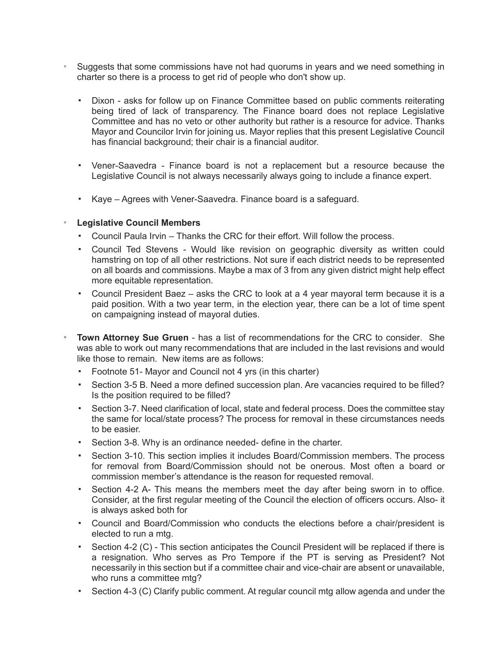- Suggests that some commissions have not had quorums in years and we need something in charter so there is a process to get rid of people who don't show up.
	- Dixon asks for follow up on Finance Committee based on public comments reiterating being tired of lack of transparency. The Finance board does not replace Legislative Committee and has no veto or other authority but rather is a resource for advice. Thanks Mayor and Councilor Irvin for joining us. Mayor replies that this present Legislative Council has financial background; their chair is a financial auditor.
	- Vener-Saavedra Finance board is not a replacement but a resource because the Legislative Council is not always necessarily always going to include a finance expert.
	- Kaye Agrees with Vener-Saavedra. Finance board is a safeguard.

## ◦ **Legislative Council Members**

- Council Paula Irvin Thanks the CRC for their effort. Will follow the process.
- Council Ted Stevens Would like revision on geographic diversity as written could hamstring on top of all other restrictions. Not sure if each district needs to be represented on all boards and commissions. Maybe a max of 3 from any given district might help effect more equitable representation.
- Council President Baez asks the CRC to look at a 4 year mayoral term because it is a paid position. With a two year term, in the election year, there can be a lot of time spent on campaigning instead of mayoral duties.
- **Town Attorney Sue Gruen** has a list of recommendations for the CRC to consider. She was able to work out many recommendations that are included in the last revisions and would like those to remain. New items are as follows:
	- Footnote 51- Mayor and Council not 4 yrs (in this charter)
	- Section 3-5 B. Need a more defined succession plan. Are vacancies required to be filled? Is the position required to be filled?
	- Section 3-7. Need clarification of local, state and federal process. Does the committee stay the same for local/state process? The process for removal in these circumstances needs to be easier.
	- Section 3-8. Why is an ordinance needed- define in the charter.
	- Section 3-10. This section implies it includes Board/Commission members. The process for removal from Board/Commission should not be onerous. Most often a board or commission member's attendance is the reason for requested removal.
	- Section 4-2 A- This means the members meet the day after being sworn in to office. Consider, at the first regular meeting of the Council the election of officers occurs. Also- it is always asked both for
	- Council and Board/Commission who conducts the elections before a chair/president is elected to run a mtg.
	- Section 4-2 (C) This section anticipates the Council President will be replaced if there is a resignation. Who serves as Pro Tempore if the PT is serving as President? Not necessarily in this section but if a committee chair and vice-chair are absent or unavailable, who runs a committee mtg?
	- Section 4-3 (C) Clarify public comment. At regular council mtg allow agenda and under the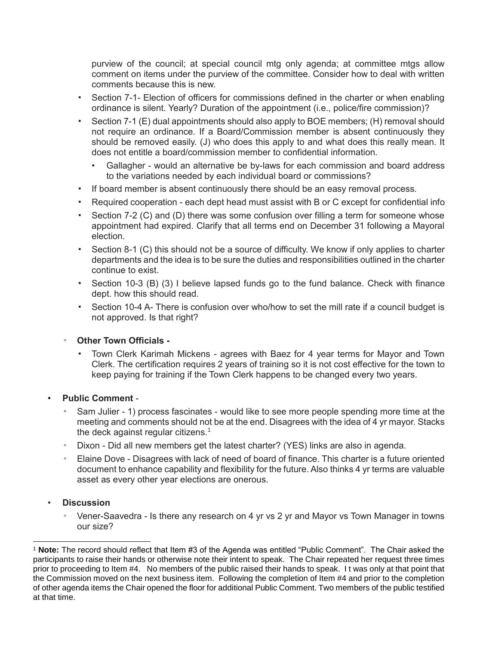purview of the council; at special council mtg only agenda; at committee mtgs allow comment on items under the purview of the committee. Consider how to deal with written comments because this is new.

- Section 7-1- Election of officers for commissions defined in the charter or when enabling ordinance is silent. Yearly? Duration of the appointment (i.e., police/fire commission)?
- Section 7-1 (E) dual appointments should also apply to BOE members; (H) removal should not require an ordinance. If a Board/Commission member is absent continuously they should be removed easily. (J) who does this apply to and what does this really mean. It does not entitle a board/commission member to confidential information.
	- Gallagher would an alternative be by-laws for each commission and board address to the variations needed by each individual board or commissions?
- If board member is absent continuously there should be an easy removal process.
- Required cooperation each dept head must assist with B or C except for confidential info
- **•** Section 7-2 (C) and (D) there was some confusion over filling a term for someone whose appointment had expired. Clarify that all terms end on December 31 following a Mayoral election.
- Section 8-1 (C) this should not be a source of difficulty. We know if only applies to charter departments and the idea is to be sure the duties and responsibilities outlined in the charter continue to exist.
- Section 10-3 (B) (3) I believe lapsed funds go to the fund balance. Check with finance dept. how this should read.
- Section 10-4 A- There is confusion over who/how to set the mill rate if a council budget is not approved. Is that right?
- **Other Town Officials** 
	- Town Clerk Karimah Mickens agrees with Baez for 4 year terms for Mayor and Town Clerk. The certification requires 2 years of training so it is not cost effective for the town to keep paying for training if the Town Clerk happens to be changed every two years.
- **Public Comment**
	- Sam Julier 1) process fascinates would like to see more people spending more time at the meeting and comments should not be at the end. Disagrees with the idea of 4 yr mayor. Stacks the deck against regular citizens. $1$
	- Dixon Did all new members get the latest charter? (YES) links are also in agenda.
	- Elaine Dove Disagrees with lack of need of board of finance. This charter is a future oriented document to enhance capability and flexibility for the future. Also thinks 4 yr terms are valuable asset as every other year elections are onerous.
- **Discussion**
	- Vener-Saavedra Is there any research on 4 yr vs 2 yr and Mayor vs Town Manager in towns our size?

 $\overline{a}$ <sup>1</sup> **Note:** The record should reflect that Item #3 of the Agenda was entitled "Public Comment". The Chair asked the participants to raise their hands or otherwise note their intent to speak. The Chair repeated her request three times prior to proceeding to Item #4. No members of the public raised their hands to speak. I t was only at that point that the Commission moved on the next business item. Following the completion of Item #4 and prior to the completion of other agenda items the Chair opened the floor for additional Public Comment. Two members of the public testified at that time.